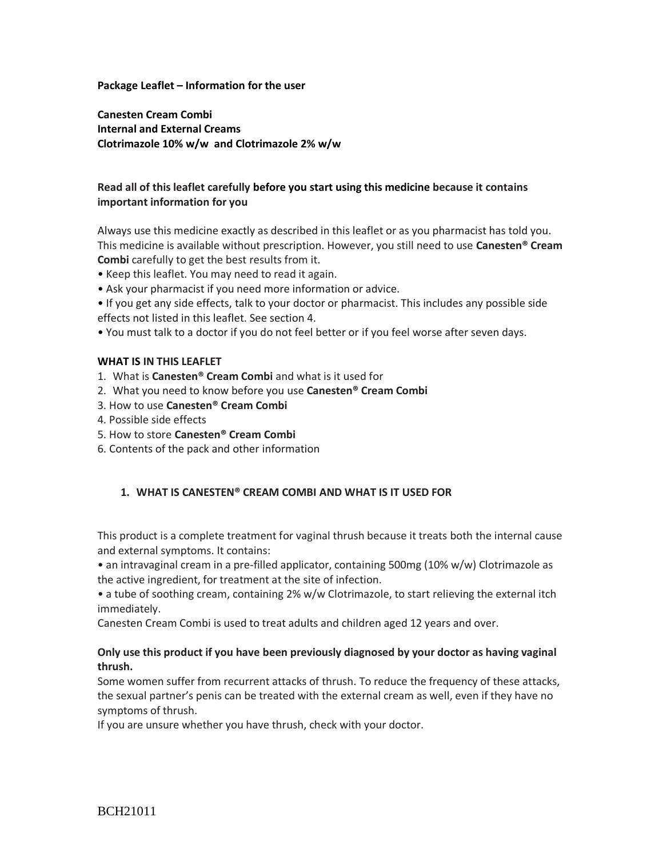#### **Package Leaflet – Information for the user**

**Canesten Cream Combi Internal and External Creams Clotrimazole 10% w/w and Clotrimazole 2% w/w**

# **Read all of this leaflet carefully before you start using this medicine because it contains important information for you**

Always use this medicine exactly as described in this leaflet or as you pharmacist has told you. This medicine is available without prescription. However, you still need to use **Canesten® Cream Combi** carefully to get the best results from it.

• Keep this leaflet. You may need to read it again.

• Ask your pharmacist if you need more information or advice.

• If you get any side effects, talk to your doctor or pharmacist. This includes any possible side effects not listed in this leaflet. See section 4.

• You must talk to a doctor if you do not feel better or if you feel worse after seven days.

### **WHAT IS IN THIS LEAFLET**

1. What is **Canesten® Cream Combi** and what is it used for

- 2. What you need to know before you use **Canesten® Cream Combi**
- 3. How to use **Canesten® Cream Combi**
- 4. Possible side effects
- 5. How to store **Canesten® Cream Combi**
- 6. Contents of the pack and other information

## **1. WHAT IS CANESTEN® CREAM COMBI AND WHAT IS IT USED FOR**

This product is a complete treatment for vaginal thrush because it treats both the internal cause and external symptoms. It contains:

• an intravaginal cream in a pre-filled applicator, containing 500mg (10% w/w) Clotrimazole as the active ingredient, for treatment at the site of infection.

• a tube of soothing cream, containing 2% w/w Clotrimazole, to start relieving the external itch immediately.

Canesten Cream Combi is used to treat adults and children aged 12 years and over.

### **Only use this product if you have been previously diagnosed by your doctor as having vaginal thrush.**

Some women suffer from recurrent attacks of thrush. To reduce the frequency of these attacks, the sexual partner's penis can be treated with the external cream as well, even if they have no symptoms of thrush.

If you are unsure whether you have thrush, check with your doctor.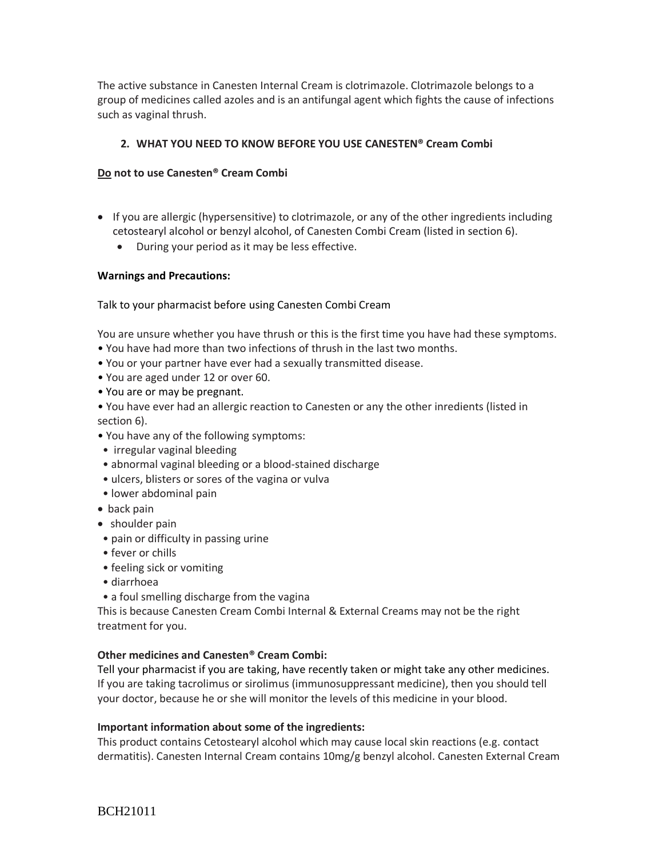The active substance in Canesten Internal Cream is clotrimazole. Clotrimazole belongs to a group of medicines called azoles and is an antifungal agent which fights the cause of infections such as vaginal thrush.

# **2. WHAT YOU NEED TO KNOW BEFORE YOU USE CANESTEN® Cream Combi**

## **Do not to use Canesten® Cream Combi**

- If you are allergic (hypersensitive) to clotrimazole, or any of the other ingredients including cetostearyl alcohol or benzyl alcohol, of Canesten Combi Cream (listed in section 6).
	- During your period as it may be less effective.

### **Warnings and Precautions:**

## Talk to your pharmacist before using Canesten Combi Cream

You are unsure whether you have thrush or this is the first time you have had these symptoms.

- You have had more than two infections of thrush in the last two months.
- You or your partner have ever had a sexually transmitted disease.
- You are aged under 12 or over 60.
- You are or may be pregnant.
- You have ever had an allergic reaction to Canesten or any the other inredients (listed in section 6).
- You have any of the following symptoms:
- irregular vaginal bleeding
- abnormal vaginal bleeding or a blood-stained discharge
- ulcers, blisters or sores of the vagina or vulva
- lower abdominal pain
- back pain
- shoulder pain
- pain or difficulty in passing urine
- fever or chills
- feeling sick or vomiting
- diarrhoea
- a foul smelling discharge from the vagina

This is because Canesten Cream Combi Internal & External Creams may not be the right treatment for you.

## **Other medicines and Canesten® Cream Combi:**

Tell your pharmacist if you are taking, have recently taken or might take any other medicines. If you are taking tacrolimus or sirolimus (immunosuppressant medicine), then you should tell your doctor, because he or she will monitor the levels of this medicine in your blood.

#### **Important information about some of the ingredients:**

This product contains Cetostearyl alcohol which may cause local skin reactions (e.g. contact dermatitis). Canesten Internal Cream contains 10mg/g benzyl alcohol. Canesten External Cream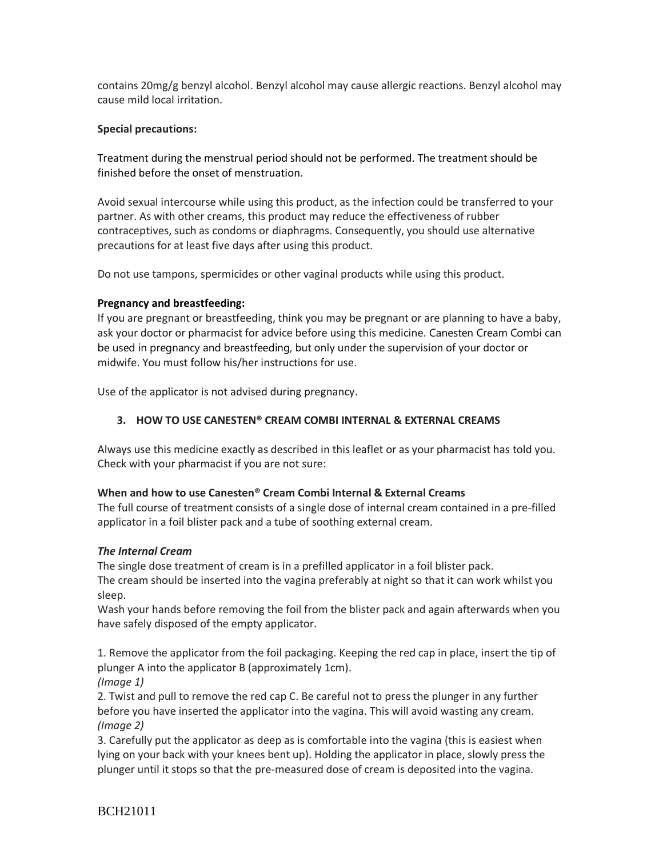contains 20mg/g benzyl alcohol. Benzyl alcohol may cause allergic reactions. Benzyl alcohol may cause mild local irritation.

## **Special precautions:**

Treatment during the menstrual period should not be performed. The treatment should be finished before the onset of menstruation.

Avoid sexual intercourse while using this product, as the infection could be transferred to your partner. As with other creams, this product may reduce the effectiveness of rubber contraceptives, such as condoms or diaphragms. Consequently, you should use alternative precautions for at least five days after using this product.

Do not use tampons, spermicides or other vaginal products while using this product.

# **Pregnancy and breastfeeding:**

If you are pregnant or breastfeeding, think you may be pregnant or are planning to have a baby, ask your doctor or pharmacist for advice before using this medicine. Canesten Cream Combi can be used in pregnancy and breastfeeding, but only under the supervision of your doctor or midwife. You must follow his/her instructions for use.

Use of the applicator is not advised during pregnancy.

# **3. HOW TO USE CANESTEN® CREAM COMBI INTERNAL & EXTERNAL CREAMS**

Always use this medicine exactly as described in this leaflet or as your pharmacist has told you. Check with your pharmacist if you are not sure:

## **When and how to use Canesten® Cream Combi Internal & External Creams**

The full course of treatment consists of a single dose of internal cream contained in a pre-filled applicator in a foil blister pack and a tube of soothing external cream.

# *The Internal Cream*

The single dose treatment of cream is in a prefilled applicator in a foil blister pack. The cream should be inserted into the vagina preferably at night so that it can work whilst you sleep.

Wash your hands before removing the foil from the blister pack and again afterwards when you have safely disposed of the empty applicator.

1. Remove the applicator from the foil packaging. Keeping the red cap in place, insert the tip of plunger A into the applicator B (approximately 1cm).

*(Image 1)*

2. Twist and pull to remove the red cap C. Be careful not to press the plunger in any further before you have inserted the applicator into the vagina. This will avoid wasting any cream. *(Image 2)*

3. Carefully put the applicator as deep as is comfortable into the vagina (this is easiest when lying on your back with your knees bent up). Holding the applicator in place, slowly press the plunger until it stops so that the pre-measured dose of cream is deposited into the vagina.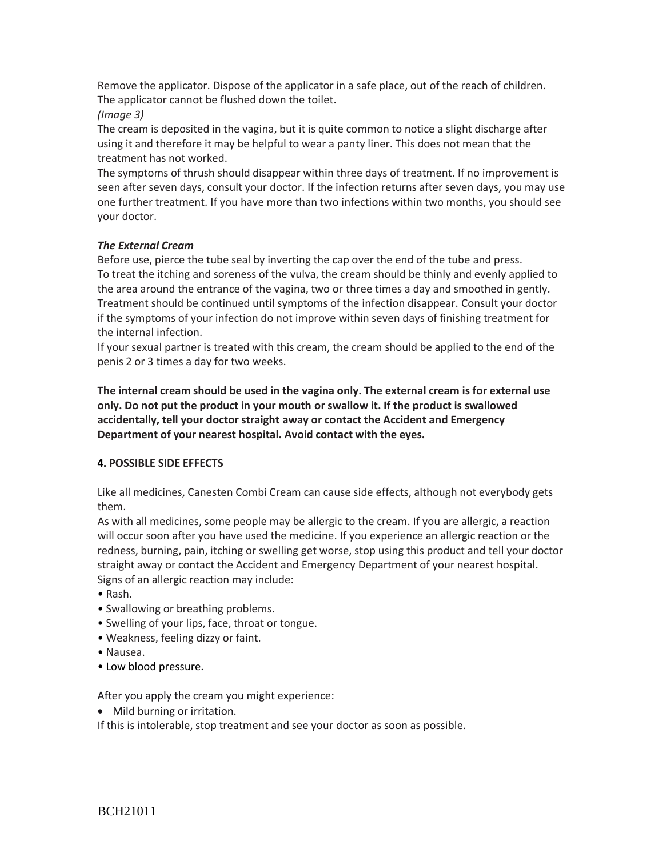Remove the applicator. Dispose of the applicator in a safe place, out of the reach of children. The applicator cannot be flushed down the toilet.

*(Image 3)*

The cream is deposited in the vagina, but it is quite common to notice a slight discharge after using it and therefore it may be helpful to wear a panty liner. This does not mean that the treatment has not worked.

The symptoms of thrush should disappear within three days of treatment. If no improvement is seen after seven days, consult your doctor. If the infection returns after seven days, you may use one further treatment. If you have more than two infections within two months, you should see your doctor.

# *The External Cream*

Before use, pierce the tube seal by inverting the cap over the end of the tube and press. To treat the itching and soreness of the vulva, the cream should be thinly and evenly applied to the area around the entrance of the vagina, two or three times a day and smoothed in gently. Treatment should be continued until symptoms of the infection disappear. Consult your doctor if the symptoms of your infection do not improve within seven days of finishing treatment for the internal infection.

If your sexual partner is treated with this cream, the cream should be applied to the end of the penis 2 or 3 times a day for two weeks.

**The internal cream should be used in the vagina only. The external cream is for external use only. Do not put the product in your mouth or swallow it. If the product is swallowed accidentally, tell your doctor straight away or contact the Accident and Emergency Department of your nearest hospital. Avoid contact with the eyes.**

# **4. POSSIBLE SIDE EFFECTS**

Like all medicines, Canesten Combi Cream can cause side effects, although not everybody gets them.

As with all medicines, some people may be allergic to the cream. If you are allergic, a reaction will occur soon after you have used the medicine. If you experience an allergic reaction or the redness, burning, pain, itching or swelling get worse, stop using this product and tell your doctor straight away or contact the Accident and Emergency Department of your nearest hospital. Signs of an allergic reaction may include:

- Rash.
- Swallowing or breathing problems.
- Swelling of your lips, face, throat or tongue.
- Weakness, feeling dizzy or faint.
- Nausea.
- Low blood pressure.

After you apply the cream you might experience:

• Mild burning or irritation.

If this is intolerable, stop treatment and see your doctor as soon as possible.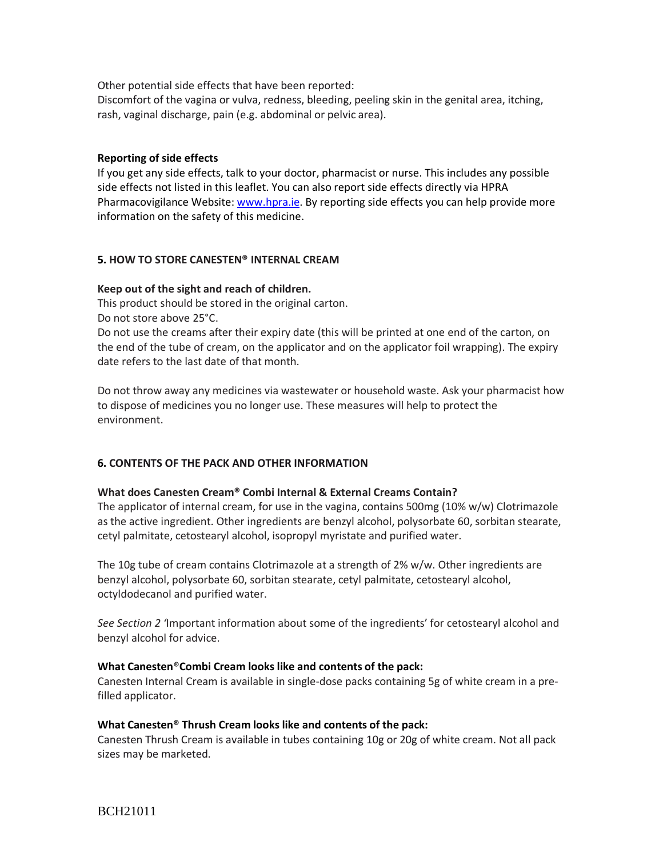Other potential side effects that have been reported:

Discomfort of the vagina or vulva, redness, bleeding, peeling skin in the genital area, itching, rash, vaginal discharge, pain (e.g. abdominal or pelvic area).

## **Reporting of side effects**

If you get any side effects, talk to your doctor, pharmacist or nurse. This includes any possible side effects not listed in this leaflet. You can also report side effects directly via HPRA Pharmacovigilance Website: [www.hpra.ie.](http://www.hpra.ie/) By reporting side effects you can help provide more information on the safety of this medicine.

## **5. HOW TO STORE CANESTEN® INTERNAL CREAM**

### **Keep out of the sight and reach of children.**

This product should be stored in the original carton.

Do not store above 25°C.

Do not use the creams after their expiry date (this will be printed at one end of the carton, on the end of the tube of cream, on the applicator and on the applicator foil wrapping). The expiry date refers to the last date of that month.

Do not throw away any medicines via wastewater or household waste. Ask your pharmacist how to dispose of medicines you no longer use. These measures will help to protect the environment.

## **6. CONTENTS OF THE PACK AND OTHER INFORMATION**

#### **What does Canesten Cream® Combi Internal & External Creams Contain?**

The applicator of internal cream, for use in the vagina, contains 500mg (10% w/w) Clotrimazole as the active ingredient. Other ingredients are benzyl alcohol, polysorbate 60, sorbitan stearate, cetyl palmitate, cetostearyl alcohol, isopropyl myristate and purified water.

The 10g tube of cream contains Clotrimazole at a strength of 2% w/w. Other ingredients are benzyl alcohol, polysorbate 60, sorbitan stearate, cetyl palmitate, cetostearyl alcohol, octyldodecanol and purified water.

*See Section 2 '*Important information about some of the ingredients' for cetostearyl alcohol and benzyl alcohol for advice.

#### **What Canesten**®**Combi Cream looks like and contents of the pack:**

Canesten Internal Cream is available in single-dose packs containing 5g of white cream in a prefilled applicator.

#### **What Canesten® Thrush Cream looks like and contents of the pack:**

Canesten Thrush Cream is available in tubes containing 10g or 20g of white cream. Not all pack sizes may be marketed.